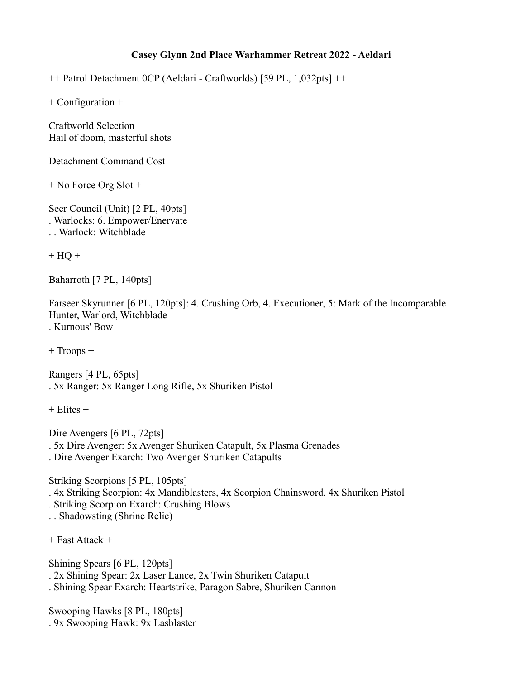## **Casey Glynn 2nd Place Warhammer Retreat 2022 - Aeldari**

++ Patrol Detachment 0CP (Aeldari - Craftworlds) [59 PL, 1,032pts] ++

+ Configuration +

Craftworld Selection Hail of doom, masterful shots

Detachment Command Cost

+ No Force Org Slot +

Seer Council (Unit) [2 PL, 40pts] . Warlocks: 6. Empower/Enervate . . Warlock: Witchblade

 $+ HO +$ 

Baharroth [7 PL, 140pts]

Farseer Skyrunner [6 PL, 120pts]: 4. Crushing Orb, 4. Executioner, 5: Mark of the Incomparable Hunter, Warlord, Witchblade . Kurnous' Bow

+ Troops +

Rangers [4 PL, 65pts] . 5x Ranger: 5x Ranger Long Rifle, 5x Shuriken Pistol

 $+$  Elites  $+$ 

Dire Avengers [6 PL, 72pts] . 5x Dire Avenger: 5x Avenger Shuriken Catapult, 5x Plasma Grenades . Dire Avenger Exarch: Two Avenger Shuriken Catapults

Striking Scorpions [5 PL, 105pts] . 4x Striking Scorpion: 4x Mandiblasters, 4x Scorpion Chainsword, 4x Shuriken Pistol . Striking Scorpion Exarch: Crushing Blows

. . Shadowsting (Shrine Relic)

+ Fast Attack +

Shining Spears [6 PL, 120pts] . 2x Shining Spear: 2x Laser Lance, 2x Twin Shuriken Catapult . Shining Spear Exarch: Heartstrike, Paragon Sabre, Shuriken Cannon

Swooping Hawks [8 PL, 180pts] . 9x Swooping Hawk: 9x Lasblaster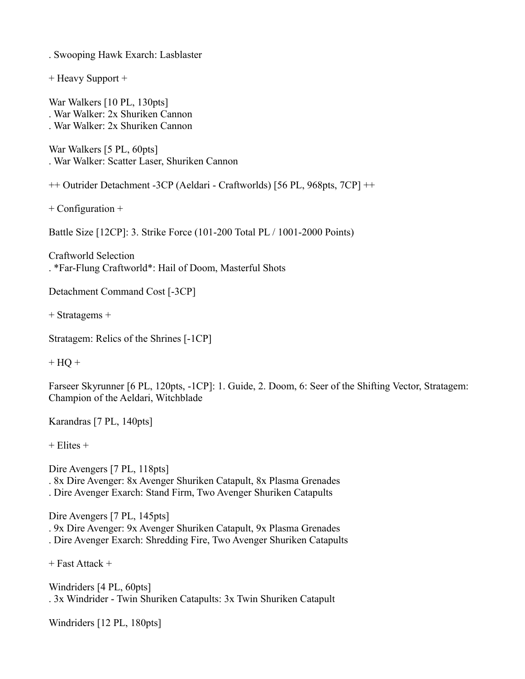. Swooping Hawk Exarch: Lasblaster

+ Heavy Support +

War Walkers [10 PL, 130pts] . War Walker: 2x Shuriken Cannon . War Walker: 2x Shuriken Cannon

War Walkers [5 PL, 60pts] . War Walker: Scatter Laser, Shuriken Cannon

++ Outrider Detachment -3CP (Aeldari - Craftworlds) [56 PL, 968pts, 7CP] ++

+ Configuration +

Battle Size [12CP]: 3. Strike Force (101-200 Total PL / 1001-2000 Points)

Craftworld Selection

. \*Far-Flung Craftworld\*: Hail of Doom, Masterful Shots

Detachment Command Cost [-3CP]

+ Stratagems +

Stratagem: Relics of the Shrines [-1CP]

 $+$  HQ  $+$ 

Farseer Skyrunner [6 PL, 120pts, -1CP]: 1. Guide, 2. Doom, 6: Seer of the Shifting Vector, Stratagem: Champion of the Aeldari, Witchblade

Karandras [7 PL, 140pts]

+ Elites +

Dire Avengers [7 PL, 118pts] . 8x Dire Avenger: 8x Avenger Shuriken Catapult, 8x Plasma Grenades . Dire Avenger Exarch: Stand Firm, Two Avenger Shuriken Catapults

Dire Avengers [7 PL, 145pts] . 9x Dire Avenger: 9x Avenger Shuriken Catapult, 9x Plasma Grenades . Dire Avenger Exarch: Shredding Fire, Two Avenger Shuriken Catapults

+ Fast Attack +

Windriders [4 PL, 60pts] . 3x Windrider - Twin Shuriken Catapults: 3x Twin Shuriken Catapult

Windriders [12 PL, 180pts]